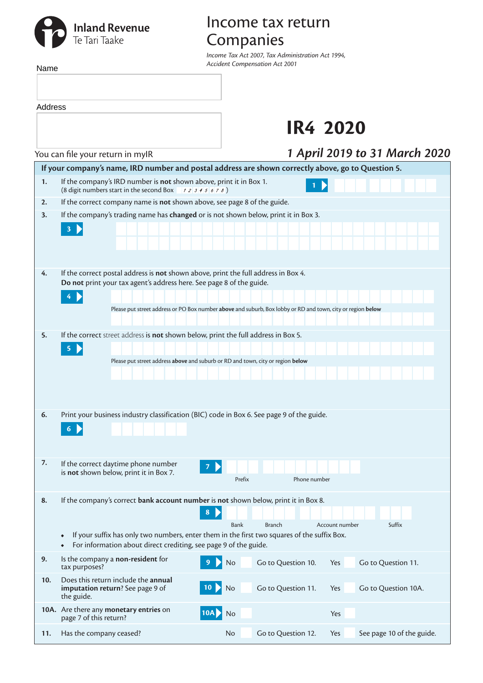## **Inland Revenue**<br>Te Tari Taake

## Income tax return Companies

*Income Tax Act 2007, Tax Administration Act 1994, Accident Compensation Act 2001*

| Name                                                                                                                                                                                      |                                                                                                                                                                                                                           | Accident Compensation Act 2001                                                                              |  |  |  |  |  |  |  |
|-------------------------------------------------------------------------------------------------------------------------------------------------------------------------------------------|---------------------------------------------------------------------------------------------------------------------------------------------------------------------------------------------------------------------------|-------------------------------------------------------------------------------------------------------------|--|--|--|--|--|--|--|
| Address                                                                                                                                                                                   |                                                                                                                                                                                                                           |                                                                                                             |  |  |  |  |  |  |  |
|                                                                                                                                                                                           |                                                                                                                                                                                                                           | <b>IR4 2020</b>                                                                                             |  |  |  |  |  |  |  |
|                                                                                                                                                                                           | You can file your return in mylR                                                                                                                                                                                          | 1 April 2019 to 31 March 2020                                                                               |  |  |  |  |  |  |  |
|                                                                                                                                                                                           | If your company's name, IRD number and postal address are shown correctly above, go to Question 5.                                                                                                                        |                                                                                                             |  |  |  |  |  |  |  |
| 1.                                                                                                                                                                                        | If the company's IRD number is not shown above, print it in Box 1.<br>(8 digit numbers start in the second Box $\rightarrow$ 2 3 4 5 6 7 8)                                                                               |                                                                                                             |  |  |  |  |  |  |  |
| 2.                                                                                                                                                                                        | If the correct company name is not shown above, see page 8 of the guide.                                                                                                                                                  |                                                                                                             |  |  |  |  |  |  |  |
| 3.                                                                                                                                                                                        | If the company's trading name has changed or is not shown below, print it in Box 3.                                                                                                                                       |                                                                                                             |  |  |  |  |  |  |  |
|                                                                                                                                                                                           | $\mathbf{3}$                                                                                                                                                                                                              |                                                                                                             |  |  |  |  |  |  |  |
| 4.                                                                                                                                                                                        | If the correct postal address is not shown above, print the full address in Box 4.<br>Do not print your tax agent's address here. See page 8 of the guide.<br>4                                                           |                                                                                                             |  |  |  |  |  |  |  |
|                                                                                                                                                                                           |                                                                                                                                                                                                                           | Please put street address or PO Box number above and suburb, Box lobby or RD and town, city or region below |  |  |  |  |  |  |  |
| 5.                                                                                                                                                                                        | If the correct street address is not shown below, print the full address in Box 5.<br>$\blacktriangleright$<br>$\overline{\mathbf{5}}$<br>Please put street address above and suburb or RD and town, city or region below |                                                                                                             |  |  |  |  |  |  |  |
| 6.                                                                                                                                                                                        | Print your business industry classification (BIC) code in Box 6. See page 9 of the guide.<br>6 N                                                                                                                          |                                                                                                             |  |  |  |  |  |  |  |
| 7.                                                                                                                                                                                        | If the correct daytime phone number<br>is not shown below, print it in Box 7.                                                                                                                                             | Prefix<br>Phone number                                                                                      |  |  |  |  |  |  |  |
| 8.                                                                                                                                                                                        | If the company's correct bank account number is not shown below, print it in Box 8.<br>8<br><b>Bank</b>                                                                                                                   | <b>Branch</b><br>Suffix<br>Account number                                                                   |  |  |  |  |  |  |  |
| If your suffix has only two numbers, enter them in the first two squares of the suffix Box.<br>$\bullet$<br>For information about direct crediting, see page 9 of the guide.<br>$\bullet$ |                                                                                                                                                                                                                           |                                                                                                             |  |  |  |  |  |  |  |
| 9.                                                                                                                                                                                        | Is the company a non-resident for<br>No<br>tax purposes?                                                                                                                                                                  | Go to Question 10.<br>Go to Question 11.<br>Yes                                                             |  |  |  |  |  |  |  |
| 10.                                                                                                                                                                                       | Does this return include the annual<br>imputation return? See page 9 of<br>10 <sup>°</sup><br>No<br>the guide.                                                                                                            | Go to Question 11.<br>Yes<br>Go to Question 10A.                                                            |  |  |  |  |  |  |  |
|                                                                                                                                                                                           | 10A. Are there any monetary entries on<br>10A<br>No<br>page 7 of this return?                                                                                                                                             | Yes                                                                                                         |  |  |  |  |  |  |  |

**11.** Has the company ceased? No Go to Question 12. Yes See page 10 of the guide.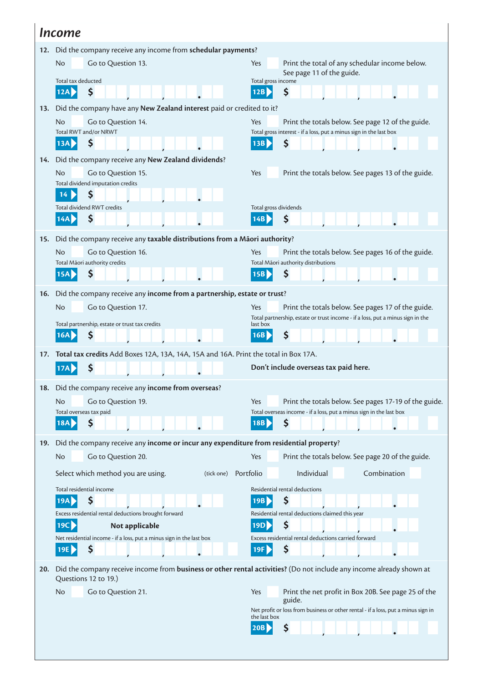| <i><u>Income</u></i>                                            |                                                                                                                                              |                                                                                                                                                    |  |  |  |  |  |  |  |  |
|-----------------------------------------------------------------|----------------------------------------------------------------------------------------------------------------------------------------------|----------------------------------------------------------------------------------------------------------------------------------------------------|--|--|--|--|--|--|--|--|
| 12. Did the company receive any income from schedular payments? |                                                                                                                                              |                                                                                                                                                    |  |  |  |  |  |  |  |  |
|                                                                 | Go to Question 13.<br>No.                                                                                                                    | Yes<br>Print the total of any schedular income below.                                                                                              |  |  |  |  |  |  |  |  |
|                                                                 | Total tax deducted                                                                                                                           | See page 11 of the guide.<br>Total gross income                                                                                                    |  |  |  |  |  |  |  |  |
|                                                                 | \$<br>12A                                                                                                                                    | \$<br>12B                                                                                                                                          |  |  |  |  |  |  |  |  |
| 13.                                                             | Did the company have any New Zealand interest paid or credited to it?                                                                        |                                                                                                                                                    |  |  |  |  |  |  |  |  |
|                                                                 | <b>No</b><br>Go to Question 14.                                                                                                              | Yes<br>Print the totals below. See page 12 of the guide.                                                                                           |  |  |  |  |  |  |  |  |
|                                                                 | Total RWT and/or NRWT<br>13A<br>Ş                                                                                                            | Total gross interest - if a loss, put a minus sign in the last box<br>13B<br>S                                                                     |  |  |  |  |  |  |  |  |
|                                                                 |                                                                                                                                              |                                                                                                                                                    |  |  |  |  |  |  |  |  |
| 14.                                                             | Did the company receive any New Zealand dividends?<br><b>No</b><br>Yes<br>Print the totals below. See pages 13 of the guide.                 |                                                                                                                                                    |  |  |  |  |  |  |  |  |
|                                                                 | Go to Question 15.<br>Total dividend imputation credits                                                                                      |                                                                                                                                                    |  |  |  |  |  |  |  |  |
|                                                                 | \$<br>14                                                                                                                                     |                                                                                                                                                    |  |  |  |  |  |  |  |  |
|                                                                 | <b>Total dividend RWT credits</b>                                                                                                            | Total gross dividends                                                                                                                              |  |  |  |  |  |  |  |  |
|                                                                 | \$<br>14A                                                                                                                                    | \$<br>14B                                                                                                                                          |  |  |  |  |  |  |  |  |
| 15.                                                             | Did the company receive any taxable distributions from a Māori authority?                                                                    |                                                                                                                                                    |  |  |  |  |  |  |  |  |
|                                                                 | N <sub>o</sub><br>Go to Question 16.                                                                                                         | Print the totals below. See pages 16 of the guide.<br>Yes                                                                                          |  |  |  |  |  |  |  |  |
|                                                                 | Total Māori authority credits<br>\$<br>15A                                                                                                   | Total Māori authority distributions<br>\$<br>15B                                                                                                   |  |  |  |  |  |  |  |  |
|                                                                 |                                                                                                                                              |                                                                                                                                                    |  |  |  |  |  |  |  |  |
| 16.                                                             | Did the company receive any income from a partnership, estate or trust?                                                                      |                                                                                                                                                    |  |  |  |  |  |  |  |  |
|                                                                 | N <sub>o</sub><br>Go to Question 17.                                                                                                         | Print the totals below. See pages 17 of the guide.<br><b>Yes</b><br>Total partnership, estate or trust income - if a loss, put a minus sign in the |  |  |  |  |  |  |  |  |
|                                                                 | Total partnership, estate or trust tax credits<br>\$<br>16A                                                                                  | last box<br>\$<br>16B                                                                                                                              |  |  |  |  |  |  |  |  |
|                                                                 |                                                                                                                                              |                                                                                                                                                    |  |  |  |  |  |  |  |  |
| 17.                                                             | Total tax credits Add Boxes 12A, 13A, 14A, 15A and 16A. Print the total in Box 17A.                                                          |                                                                                                                                                    |  |  |  |  |  |  |  |  |
|                                                                 |                                                                                                                                              | Don't include overseas tax paid here.                                                                                                              |  |  |  |  |  |  |  |  |
| 18.                                                             | Did the company receive any income from overseas?                                                                                            |                                                                                                                                                    |  |  |  |  |  |  |  |  |
|                                                                 | Go to Question 19.<br><b>No</b>                                                                                                              | Yes<br>Print the totals below. See pages 17-19 of the guide.                                                                                       |  |  |  |  |  |  |  |  |
|                                                                 | Total overseas tax paid<br>\$<br>18A                                                                                                         | Total overseas income - if a loss, put a minus sign in the last box<br>\$<br>18B                                                                   |  |  |  |  |  |  |  |  |
|                                                                 |                                                                                                                                              |                                                                                                                                                    |  |  |  |  |  |  |  |  |
| 19.                                                             | Did the company receive any income or incur any expenditure from residential property?                                                       |                                                                                                                                                    |  |  |  |  |  |  |  |  |
|                                                                 | Go to Question 20.<br><b>No</b>                                                                                                              | Print the totals below. See page 20 of the guide.<br>Yes                                                                                           |  |  |  |  |  |  |  |  |
|                                                                 | Select which method you are using.<br>(tick one)                                                                                             | Individual<br>Combination<br>Portfolio                                                                                                             |  |  |  |  |  |  |  |  |
|                                                                 | Total residential income                                                                                                                     | Residential rental deductions                                                                                                                      |  |  |  |  |  |  |  |  |
|                                                                 | \$<br>19A                                                                                                                                    | \$<br>19B                                                                                                                                          |  |  |  |  |  |  |  |  |
|                                                                 | Excess residential rental deductions brought forward<br>19C<br>Not applicable                                                                | Residential rental deductions claimed this year<br>\$<br>19D                                                                                       |  |  |  |  |  |  |  |  |
|                                                                 | Net residential income - if a loss, put a minus sign in the last box                                                                         | Excess residential rental deductions carried forward                                                                                               |  |  |  |  |  |  |  |  |
|                                                                 | \$<br>19E                                                                                                                                    | \$<br>19F                                                                                                                                          |  |  |  |  |  |  |  |  |
| 20.                                                             | Did the company receive income from business or other rental activities? (Do not include any income already shown at<br>Questions 12 to 19.) |                                                                                                                                                    |  |  |  |  |  |  |  |  |
|                                                                 | <b>No</b><br>Go to Question 21.                                                                                                              | Print the net profit in Box 20B. See page 25 of the<br>Yes                                                                                         |  |  |  |  |  |  |  |  |
|                                                                 |                                                                                                                                              | guide.<br>Net profit or loss from business or other rental - if a loss, put a minus sign in                                                        |  |  |  |  |  |  |  |  |
|                                                                 |                                                                                                                                              | the last box                                                                                                                                       |  |  |  |  |  |  |  |  |
|                                                                 |                                                                                                                                              | \$<br>20B                                                                                                                                          |  |  |  |  |  |  |  |  |
|                                                                 |                                                                                                                                              |                                                                                                                                                    |  |  |  |  |  |  |  |  |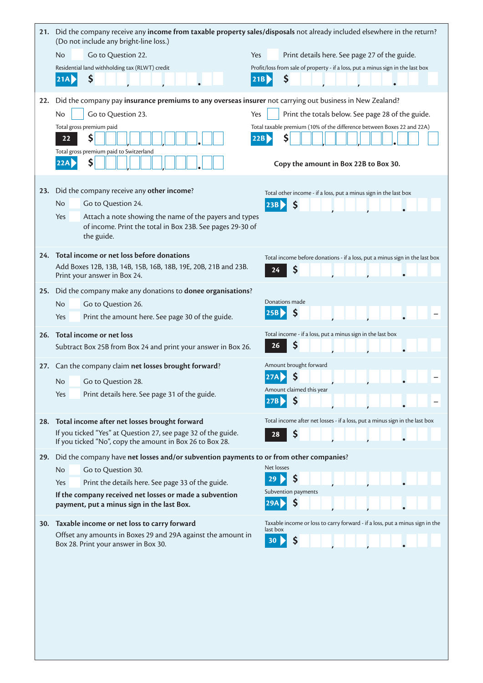|            | 21. Did the company receive any income from taxable property sales/disposals not already included elsewhere in the return?<br>(Do not include any bright-line loss.) |                                                                                          |  |  |  |  |  |  |  |
|------------|----------------------------------------------------------------------------------------------------------------------------------------------------------------------|------------------------------------------------------------------------------------------|--|--|--|--|--|--|--|
|            | No<br>Go to Question 22.                                                                                                                                             | Yes<br>Print details here. See page 27 of the guide.                                     |  |  |  |  |  |  |  |
|            | Residential land withholding tax (RLWT) credit                                                                                                                       | Profit/loss from sale of property - if a loss, put a minus sign in the last box          |  |  |  |  |  |  |  |
|            | \$<br>21A                                                                                                                                                            | \$<br>21B                                                                                |  |  |  |  |  |  |  |
| 22.        | Did the company pay insurance premiums to any overseas insurer not carrying out business in New Zealand?                                                             |                                                                                          |  |  |  |  |  |  |  |
|            | Go to Question 23.<br>No                                                                                                                                             | Yes<br>Print the totals below. See page 28 of the guide.                                 |  |  |  |  |  |  |  |
|            | Total gross premium paid                                                                                                                                             | Total taxable premium (10% of the difference between Boxes 22 and 22A)                   |  |  |  |  |  |  |  |
|            | \$<br>22                                                                                                                                                             | \$<br>22B                                                                                |  |  |  |  |  |  |  |
|            | Total gross premium paid to Switzerland<br>\$<br>22A                                                                                                                 |                                                                                          |  |  |  |  |  |  |  |
|            |                                                                                                                                                                      | Copy the amount in Box 22B to Box 30.                                                    |  |  |  |  |  |  |  |
| 23.        | Did the company receive any other income?                                                                                                                            | Total other income - if a loss, put a minus sign in the last box                         |  |  |  |  |  |  |  |
|            | Go to Question 24.<br>No                                                                                                                                             | \$<br>23B                                                                                |  |  |  |  |  |  |  |
|            | Attach a note showing the name of the payers and types<br>Yes                                                                                                        |                                                                                          |  |  |  |  |  |  |  |
|            | of income. Print the total in Box 23B. See pages 29-30 of<br>the guide.                                                                                              |                                                                                          |  |  |  |  |  |  |  |
| 24.        | Total income or net loss before donations                                                                                                                            |                                                                                          |  |  |  |  |  |  |  |
|            | Add Boxes 12B, 13B, 14B, 15B, 16B, 18B, 19E, 20B, 21B and 23B.                                                                                                       | Total income before donations - if a loss, put a minus sign in the last box<br>\$<br>24  |  |  |  |  |  |  |  |
|            | Print your answer in Box 24.                                                                                                                                         |                                                                                          |  |  |  |  |  |  |  |
| 25.        | Did the company make any donations to donee organisations?                                                                                                           |                                                                                          |  |  |  |  |  |  |  |
|            | No<br>Go to Question 26.                                                                                                                                             | Donations made<br>\$<br>25B                                                              |  |  |  |  |  |  |  |
|            | Print the amount here. See page 30 of the guide.<br>Yes                                                                                                              |                                                                                          |  |  |  |  |  |  |  |
| 26.        | Total income or net loss                                                                                                                                             | Total income - if a loss, put a minus sign in the last box                               |  |  |  |  |  |  |  |
|            | Subtract Box 25B from Box 24 and print your answer in Box 26.                                                                                                        | Ş<br>26                                                                                  |  |  |  |  |  |  |  |
| 27.        | Can the company claim net losses brought forward?                                                                                                                    | Amount brought forward                                                                   |  |  |  |  |  |  |  |
|            | No<br>Go to Question 28.                                                                                                                                             | Ş<br>Amount claimed this year                                                            |  |  |  |  |  |  |  |
|            | Print details here. See page 31 of the guide.<br>Yes                                                                                                                 |                                                                                          |  |  |  |  |  |  |  |
|            | Total income after net losses brought forward                                                                                                                        | Total income after net losses - if a loss, put a minus sign in the last box              |  |  |  |  |  |  |  |
| 28.        | If you ticked "Yes" at Question 27, see page 32 of the guide.                                                                                                        | Ş<br>28                                                                                  |  |  |  |  |  |  |  |
|            | If you ticked "No", copy the amount in Box 26 to Box 28.                                                                                                             |                                                                                          |  |  |  |  |  |  |  |
| 29.        | Did the company have net losses and/or subvention payments to or from other companies?                                                                               | Net losses                                                                               |  |  |  |  |  |  |  |
|            | Go to Question 30.<br>No                                                                                                                                             | Ş<br>29                                                                                  |  |  |  |  |  |  |  |
|            | Print the details here. See page 33 of the guide.<br>Yes<br>If the company received net losses or made a subvention                                                  | Subvention payments                                                                      |  |  |  |  |  |  |  |
|            | payment, put a minus sign in the last Box.                                                                                                                           | \$<br>29A                                                                                |  |  |  |  |  |  |  |
| <b>30.</b> | Taxable income or net loss to carry forward                                                                                                                          | Taxable income or loss to carry forward - if a loss, put a minus sign in the<br>last box |  |  |  |  |  |  |  |
|            | Offset any amounts in Boxes 29 and 29A against the amount in<br>Box 28. Print your answer in Box 30.                                                                 | \$<br>30 <sub>1</sub>                                                                    |  |  |  |  |  |  |  |
|            |                                                                                                                                                                      |                                                                                          |  |  |  |  |  |  |  |
|            |                                                                                                                                                                      |                                                                                          |  |  |  |  |  |  |  |
|            |                                                                                                                                                                      |                                                                                          |  |  |  |  |  |  |  |
|            |                                                                                                                                                                      |                                                                                          |  |  |  |  |  |  |  |
|            |                                                                                                                                                                      |                                                                                          |  |  |  |  |  |  |  |
|            |                                                                                                                                                                      |                                                                                          |  |  |  |  |  |  |  |
|            |                                                                                                                                                                      |                                                                                          |  |  |  |  |  |  |  |
|            |                                                                                                                                                                      |                                                                                          |  |  |  |  |  |  |  |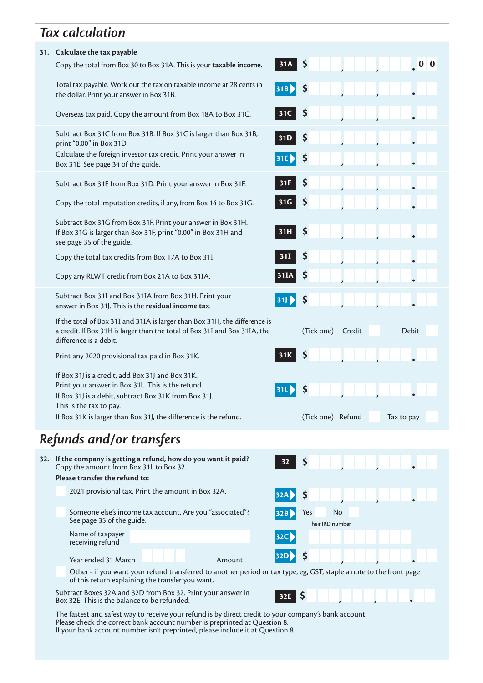|                                                                                                                                                                                                                                                                      | <b>Tax calculation</b>                                                                                                                                                                    |                                   |  |  |  |  |  |  |  |  |
|----------------------------------------------------------------------------------------------------------------------------------------------------------------------------------------------------------------------------------------------------------------------|-------------------------------------------------------------------------------------------------------------------------------------------------------------------------------------------|-----------------------------------|--|--|--|--|--|--|--|--|
| 31. Calculate the tax payable                                                                                                                                                                                                                                        |                                                                                                                                                                                           |                                   |  |  |  |  |  |  |  |  |
|                                                                                                                                                                                                                                                                      | Copy the total from Box 30 to Box 31A. This is your taxable income.                                                                                                                       | $31A \mid \frac{5}{2}$            |  |  |  |  |  |  |  |  |
|                                                                                                                                                                                                                                                                      | Total tax payable. Work out the tax on taxable income at 28 cents in<br>the dollar. Print your answer in Box 31B.                                                                         | $ 31B\rangle$<br>-\$              |  |  |  |  |  |  |  |  |
|                                                                                                                                                                                                                                                                      | Overseas tax paid. Copy the amount from Box 18A to Box 31C.                                                                                                                               | \$<br>31C                         |  |  |  |  |  |  |  |  |
|                                                                                                                                                                                                                                                                      | Subtract Box 31C from Box 31B. If Box 31C is larger than Box 31B,<br>print "0.00" in Box 31D.                                                                                             | \$<br>31D                         |  |  |  |  |  |  |  |  |
|                                                                                                                                                                                                                                                                      | Calculate the foreign investor tax credit. Print your answer in<br>Box 31E. See page 34 of the guide.                                                                                     | \$<br>31E                         |  |  |  |  |  |  |  |  |
|                                                                                                                                                                                                                                                                      | Subtract Box 31E from Box 31D. Print your answer in Box 31F.                                                                                                                              | Ş<br>31F                          |  |  |  |  |  |  |  |  |
|                                                                                                                                                                                                                                                                      | Copy the total imputation credits, if any, from Box 14 to Box 31G.                                                                                                                        | Ş<br>31G                          |  |  |  |  |  |  |  |  |
|                                                                                                                                                                                                                                                                      | Subtract Box 31G from Box 31F. Print your answer in Box 31H.<br>If Box 31G is larger than Box 31F, print "0.00" in Box 31H and<br>see page 35 of the guide.                               | Ş<br>31H                          |  |  |  |  |  |  |  |  |
|                                                                                                                                                                                                                                                                      | Copy the total tax credits from Box 17A to Box 31I.                                                                                                                                       | \$<br>31I                         |  |  |  |  |  |  |  |  |
|                                                                                                                                                                                                                                                                      | Copy any RLWT credit from Box 21A to Box 31IA.                                                                                                                                            | Ş                                 |  |  |  |  |  |  |  |  |
|                                                                                                                                                                                                                                                                      | Subtract Box 31I and Box 31IA from Box 31H. Print your<br>answer in Box 31J. This is the residual income tax.                                                                             | 31<br>Ş                           |  |  |  |  |  |  |  |  |
|                                                                                                                                                                                                                                                                      | If the total of Box 31I and 31IA is larger than Box 31H, the difference is<br>a credit. If Box 31H is larger than the total of Box 31I and Box 31IA, the<br>difference is a debit.        | (Tick one) Credit<br><b>Debit</b> |  |  |  |  |  |  |  |  |
|                                                                                                                                                                                                                                                                      | Print any 2020 provisional tax paid in Box 31K.                                                                                                                                           | 31K                               |  |  |  |  |  |  |  |  |
|                                                                                                                                                                                                                                                                      | If Box 31J is a credit, add Box 31J and Box 31K.<br>Print your answer in Box 31L. This is the refund.<br>If Box 31J is a debit, subtract Box 31K from Box 31J.<br>This is the tax to pay. | 31L<br>Ş                          |  |  |  |  |  |  |  |  |
|                                                                                                                                                                                                                                                                      | If Box 31K is larger than Box 31J, the difference is the refund.                                                                                                                          | (Tick one) Refund<br>Tax to pay   |  |  |  |  |  |  |  |  |
|                                                                                                                                                                                                                                                                      | Refunds and/or transfers                                                                                                                                                                  |                                   |  |  |  |  |  |  |  |  |
|                                                                                                                                                                                                                                                                      | 32. If the company is getting a refund, how do you want it paid?<br>Copy the amount from Box 31L to Box 32.<br>Please transfer the refund to:                                             | \$<br>32                          |  |  |  |  |  |  |  |  |
|                                                                                                                                                                                                                                                                      | 2021 provisional tax. Print the amount in Box 32A.                                                                                                                                        |                                   |  |  |  |  |  |  |  |  |
|                                                                                                                                                                                                                                                                      | Someone else's income tax account. Are you "associated"?                                                                                                                                  | No<br>Yes                         |  |  |  |  |  |  |  |  |
|                                                                                                                                                                                                                                                                      | See page 35 of the guide.<br>Name of taxpayer                                                                                                                                             | Their IRD number<br>32C           |  |  |  |  |  |  |  |  |
|                                                                                                                                                                                                                                                                      | receiving refund                                                                                                                                                                          | 32D <b>P</b><br>Ş                 |  |  |  |  |  |  |  |  |
|                                                                                                                                                                                                                                                                      | Year ended 31 March<br>Amount<br>Other - if you want your refund transferred to another period or tax type, eg, GST, staple a note to the front page                                      |                                   |  |  |  |  |  |  |  |  |
|                                                                                                                                                                                                                                                                      | of this return explaining the transfer you want.<br>Subtract Boxes 32A and 32D from Box 32. Print your answer in<br>Ş<br>32E<br>Box 32E. This is the balance to be refunded.              |                                   |  |  |  |  |  |  |  |  |
| The fastest and safest way to receive your refund is by direct credit to your company's bank account.<br>Please check the correct bank account number is preprinted at Question 8.<br>If your bank account number isn't preprinted, please include it at Question 8. |                                                                                                                                                                                           |                                   |  |  |  |  |  |  |  |  |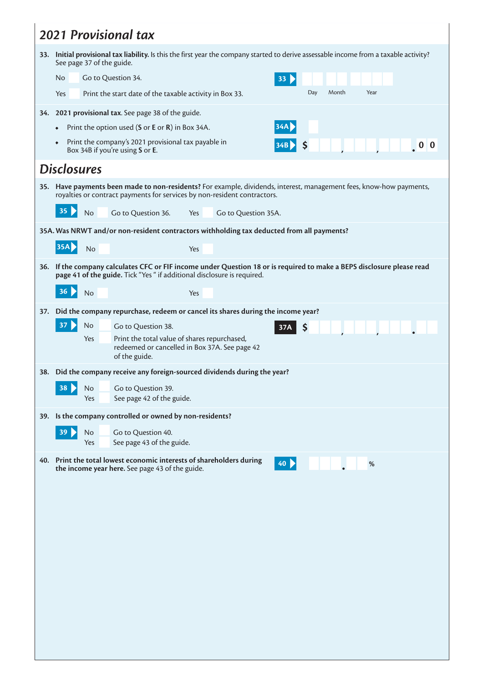| <b>2021 Provisional tax</b> |                                                                                                                                                                                                 |  |  |  |  |  |  |  |  |  |
|-----------------------------|-------------------------------------------------------------------------------------------------------------------------------------------------------------------------------------------------|--|--|--|--|--|--|--|--|--|
|                             | 33. Initial provisional tax liability. Is this the first year the company started to derive assessable income from a taxable activity?<br>See page 37 of the guide.                             |  |  |  |  |  |  |  |  |  |
|                             | Go to Question 34.<br>No<br>33 <sub>o</sub>                                                                                                                                                     |  |  |  |  |  |  |  |  |  |
|                             | Day<br>Month<br>Year<br>Print the start date of the taxable activity in Box 33.<br>Yes                                                                                                          |  |  |  |  |  |  |  |  |  |
| 34.                         | 2021 provisional tax. See page 38 of the guide.                                                                                                                                                 |  |  |  |  |  |  |  |  |  |
|                             | 34A<br>Print the option used (S or E or R) in Box 34A.<br>$\bullet$                                                                                                                             |  |  |  |  |  |  |  |  |  |
|                             | Print the company's 2021 provisional tax payable in<br>$\bullet$<br>Ş<br>Box 34B if you're using S or E.                                                                                        |  |  |  |  |  |  |  |  |  |
|                             | <b>Disclosures</b>                                                                                                                                                                              |  |  |  |  |  |  |  |  |  |
|                             | 35. Have payments been made to non-residents? For example, dividends, interest, management fees, know-how payments,<br>royalties or contract payments for services by non-resident contractors. |  |  |  |  |  |  |  |  |  |
|                             | 35<br>Go to Question 36.<br><b>No</b><br>Go to Question 35A.<br>Yes                                                                                                                             |  |  |  |  |  |  |  |  |  |
|                             | 35A. Was NRWT and/or non-resident contractors withholding tax deducted from all payments?                                                                                                       |  |  |  |  |  |  |  |  |  |
|                             | <b>35A</b><br>No<br>Yes                                                                                                                                                                         |  |  |  |  |  |  |  |  |  |
| 36.                         | If the company calculates CFC or FIF income under Question 18 or is required to make a BEPS disclosure please read                                                                              |  |  |  |  |  |  |  |  |  |
|                             | page 41 of the guide. Tick "Yes " if additional disclosure is required.<br>36<br><b>No</b><br>Yes                                                                                               |  |  |  |  |  |  |  |  |  |
|                             |                                                                                                                                                                                                 |  |  |  |  |  |  |  |  |  |
| 37.                         | Did the company repurchase, redeem or cancel its shares during the income year?<br>37<br>No<br>Go to Question 38.                                                                               |  |  |  |  |  |  |  |  |  |
|                             | \$<br>37A<br>Print the total value of shares repurchased,<br>Yes                                                                                                                                |  |  |  |  |  |  |  |  |  |
|                             | redeemed or cancelled in Box 37A. See page 42<br>of the guide.                                                                                                                                  |  |  |  |  |  |  |  |  |  |
|                             | 38. Did the company receive any foreign-sourced dividends during the year?                                                                                                                      |  |  |  |  |  |  |  |  |  |
|                             | 38 D<br>No<br>Go to Question 39.<br>See page 42 of the guide.<br>Yes                                                                                                                            |  |  |  |  |  |  |  |  |  |
|                             | 39. Is the company controlled or owned by non-residents?                                                                                                                                        |  |  |  |  |  |  |  |  |  |
|                             | 39 <sub>o</sub><br>No<br>Go to Question 40.                                                                                                                                                     |  |  |  |  |  |  |  |  |  |
|                             | See page 43 of the guide.<br>Yes                                                                                                                                                                |  |  |  |  |  |  |  |  |  |
|                             | 40. Print the total lowest economic interests of shareholders during<br>40<br>$\%$<br>the income year here. See page 43 of the guide.                                                           |  |  |  |  |  |  |  |  |  |
|                             |                                                                                                                                                                                                 |  |  |  |  |  |  |  |  |  |
|                             |                                                                                                                                                                                                 |  |  |  |  |  |  |  |  |  |
|                             |                                                                                                                                                                                                 |  |  |  |  |  |  |  |  |  |
|                             |                                                                                                                                                                                                 |  |  |  |  |  |  |  |  |  |
|                             |                                                                                                                                                                                                 |  |  |  |  |  |  |  |  |  |
|                             |                                                                                                                                                                                                 |  |  |  |  |  |  |  |  |  |
|                             |                                                                                                                                                                                                 |  |  |  |  |  |  |  |  |  |
|                             |                                                                                                                                                                                                 |  |  |  |  |  |  |  |  |  |
|                             |                                                                                                                                                                                                 |  |  |  |  |  |  |  |  |  |
|                             |                                                                                                                                                                                                 |  |  |  |  |  |  |  |  |  |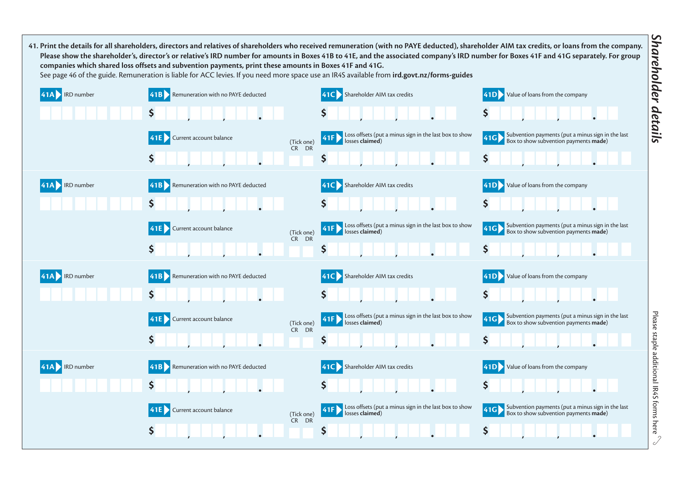